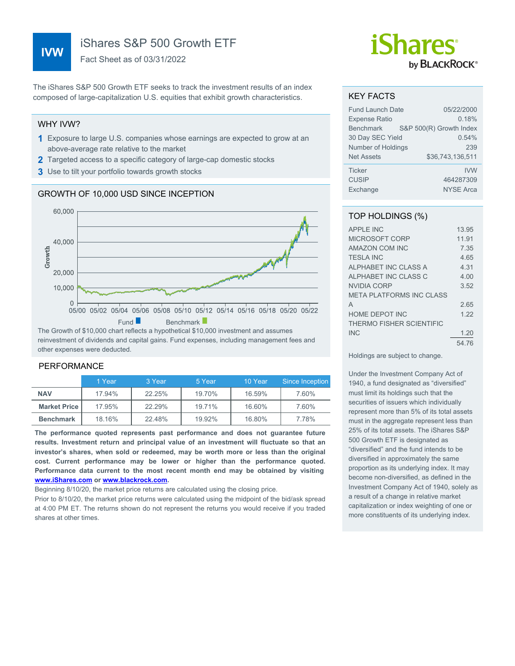# **IVW**

iShares S&P 500 Growth ETF

Fact Sheet as of 03/31/2022

The iShares S&P 500 Growth ETF seeks to track the investment results of an index composed of large-capitalization U.S. equities that exhibit growth characteristics.

#### WHY IVW?

- **1** Exposure to large U.S. companies whose earnings are expected to grow at an above-average rate relative to the market
- **2** Targeted access to a specific category of large-cap domestic stocks
- **3** Use to tilt your portfolio towards growth stocks

## GROWTH OF 10,000 USD SINCE INCEPTION



reinvestment of dividends and capital gains. Fund expenses, including management fees and other expenses were deducted.

### PERFORMANCE

|                       | 1 Year | 3 Year | 5 Year | 10 Year | Since Inception |
|-----------------------|--------|--------|--------|---------|-----------------|
| <b>NAV</b>            | 17.94% | 22.25% | 19.70% | 16.59%  | 7.60%           |
| <b>Market Price I</b> | 17.95% | 22.29% | 19.71% | 16.60%  | 7.60%           |
| <b>Benchmark</b>      | 18.16% | 22.48% | 19.92% | 16.80%  | 7.78%           |

**The performance quoted represents past performance and does not guarantee future results. Investment return and principal value of an investment will fluctuate so that an investor's shares, when sold or redeemed, may be worth more or less than the original cost. Current performance may be lower or higher than the performance quoted. Performance data current to the most recent month end may be obtained by visiting [www.iShares.com](http://www.iShares.com) or [www.blackrock.com](http://www.blackrock.com).**

Beginning 8/10/20, the market price returns are calculated using the closing price.

Prior to 8/10/20, the market price returns were calculated using the midpoint of the bid/ask spread at 4:00 PM ET. The returns shown do not represent the returns you would receive if you traded shares at other times.

# *iShares* by **BLACKROCK**®

#### KEY FACTS

| <b>Fund Launch Date</b> | 05/22/2000              |
|-------------------------|-------------------------|
| <b>Expense Ratio</b>    | 0.18%                   |
| <b>Benchmark</b>        | S&P 500(R) Growth Index |
| 30 Day SEC Yield        | 0.54%                   |
| Number of Holdings      | 239                     |
| <b>Net Assets</b>       | \$36.743.136.511        |
| <b>Ticker</b>           | <b>IVW</b>              |
| <b>CUSIP</b>            | 464287309               |
| Exchange                | <b>NYSE Arca</b>        |

## TOP HOLDINGS (%)

| <b>APPLE INC</b>                | 13.95 |
|---------------------------------|-------|
| MICROSOFT CORP                  | 11.91 |
| <b>AMAZON COM INC</b>           | 7.35  |
| <b>TESLA INC</b>                | 4.65  |
| ALPHABET INC CLASS A            | 4.31  |
| ALPHABET INC CLASS C            | 4.00  |
| <b>NVIDIA CORP</b>              | 3.52  |
| <b>META PLATFORMS INC CLASS</b> |       |
| A                               | 2.65  |
| <b>HOME DEPOT INC</b>           | 1 22  |
| THERMO FISHER SCIENTIFIC        |       |
| <b>INC</b>                      | 1.20  |
|                                 | 54.76 |

Holdings are subject to change.

Under the Investment Company Act of 1940, a fund designated as "diversified" must limit its holdings such that the securities of issuers which individually represent more than 5% of its total assets must in the aggregate represent less than 25% of its total assets. The iShares S&P 500 Growth ETF is designated as "diversified" and the fund intends to be diversified in approximately the same proportion as its underlying index. It may become non-diversified, as defined in the Investment Company Act of 1940, solely as a result of a change in relative market capitalization or index weighting of one or more constituents of its underlying index.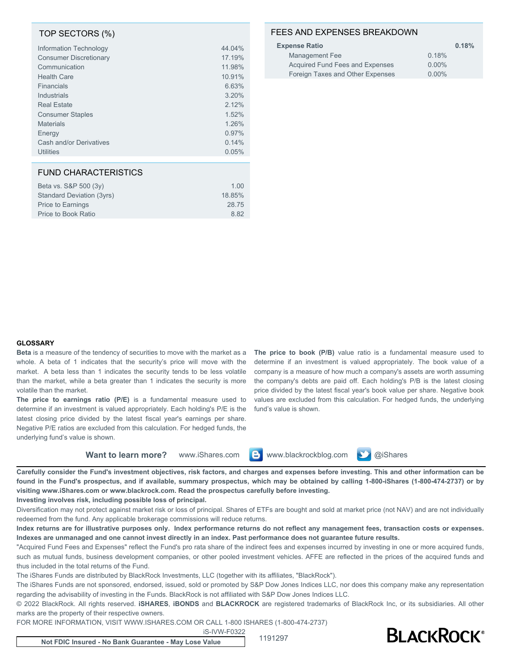### TOP SECTORS (%)

| Information Technology        | 44.04% |
|-------------------------------|--------|
| <b>Consumer Discretionary</b> | 17.19% |
| Communication                 | 11.98% |
| <b>Health Care</b>            | 10.91% |
| Financials                    | 6.63%  |
| Industrials                   | 3.20%  |
| <b>Real Estate</b>            | 2.12%  |
| <b>Consumer Staples</b>       | 1.52%  |
| <b>Materials</b>              | 1.26%  |
| Energy                        | 0.97%  |
| Cash and/or Derivatives       | 0.14%  |
| <b>Utilities</b>              | 0.05%  |

#### FUND CHARACTERISTICS

| Beta vs. S&P 500 (3y)     | 1.00   |
|---------------------------|--------|
| Standard Deviation (3yrs) | 18.85% |
| Price to Earnings         | 28.75  |
| Price to Book Ratio       | 8.82   |
|                           |        |

## FEES AND EXPENSES BREAKDOWN

| <b>Expense Ratio</b>             | 0.18%    |
|----------------------------------|----------|
| Management Fee                   | 0.18%    |
| Acquired Fund Fees and Expenses  | $0.00\%$ |
| Foreign Taxes and Other Expenses | $0.00\%$ |

#### **GLOSSARY**

**Beta** is a measure of the tendency of securities to move with the market as a whole. A beta of 1 indicates that the security's price will move with the market. A beta less than 1 indicates the security tends to be less volatile than the market, while a beta greater than 1 indicates the security is more volatile than the market.

**The price to earnings ratio (P/E)** is a fundamental measure used to determine if an investment is valued appropriately. Each holding's P/E is the latest closing price divided by the latest fiscal year's earnings per share. Negative P/E ratios are excluded from this calculation. For hedged funds, the underlying fund's value is shown.

**The price to book (P/B)** value ratio is a fundamental measure used to determine if an investment is valued appropriately. The book value of a company is a measure of how much a company's assets are worth assuming the company's debts are paid off. Each holding's P/B is the latest closing price divided by the latest fiscal year's book value per share. Negative book values are excluded from this calculation. For hedged funds, the underlying fund's value is shown.

**Want to learn more?** www.iShares.com **B** www.blackrockblog.com **D** @iShares

**Carefully consider the Fund's investment objectives, risk factors, and charges and expenses before investing. This and other information can be found in the Fund's prospectus, and if available, summary prospectus, which may be obtained by calling 1-800-iShares (1-800-474-2737) or by visiting www.iShares.com or www.blackrock.com. Read the prospectus carefully before investing.**

**Investing involves risk, including possible loss of principal.**

Diversification may not protect against market risk or loss of principal. Shares of ETFs are bought and sold at market price (not NAV) and are not individually redeemed from the fund. Any applicable brokerage commissions will reduce returns.

**Index returns are for illustrative purposes only. Index performance returns do not reflect any management fees, transaction costs or expenses. Indexes are unmanaged and one cannot invest directly in an index. Past performance does not guarantee future results.**

"Acquired Fund Fees and Expenses" reflect the Fund's pro rata share of the indirect fees and expenses incurred by investing in one or more acquired funds, such as mutual funds, business development companies, or other pooled investment vehicles. AFFE are reflected in the prices of the acquired funds and thus included in the total returns of the Fund.

The iShares Funds are distributed by BlackRock Investments, LLC (together with its affiliates, "BlackRock").

The iShares Funds are not sponsored, endorsed, issued, sold or promoted by S&P Dow Jones Indices LLC, nor does this company make any representation regarding the advisability of investing in the Funds. BlackRock is not affiliated with S&P Dow Jones Indices LLC.

© 2022 BlackRock. All rights reserved. **iSHARES**, **iBONDS** and **BLACKROCK** are registered trademarks of BlackRock Inc, or its subsidiaries. All other marks are the property of their respective owners.

FOR MORE INFORMATION, VISIT WWW.ISHARES.COM OR CALL 1-800 ISHARES (1-800-474-2737)

iS-IVW-F0322